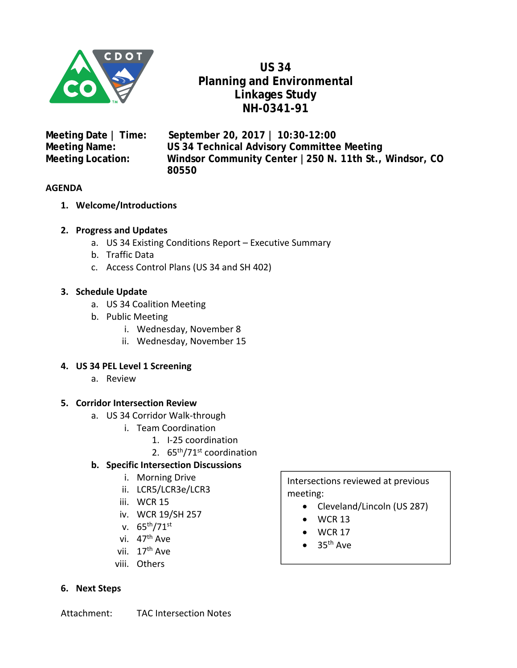

**US 34 Planning and Environmental Linkages Study NH-0341-91** 

**Meeting Date | Time: September 20, 2017 | 10:30-12:00 Meeting Name: US 34 Technical Advisory Committee Meeting Meeting Location: Windsor Community Center |250 N. 11th St., Windsor, CO 80550** 

#### **AGENDA**

- **1. Welcome/Introductions**
- **2. Progress and Updates** 
	- a. US 34 Existing Conditions Report Executive Summary
	- b. Traffic Data
	- c. Access Control Plans (US 34 and SH 402)

#### **3. Schedule Update**

- a. US 34 Coalition Meeting
- b. Public Meeting
	- i. Wednesday, November 8
	- ii. Wednesday, November 15

#### **4. US 34 PEL Level 1 Screening**

a. Review

#### **5. Corridor Intersection Review**

- a. US 34 Corridor Walk‐through
	- i. Team Coordination
		- 1. I‐25 coordination
		- 2. 65th/71st coordination

#### **b. Specific Intersection Discussions**

- i. Morning Drive
- ii. LCR5/LCR3e/LCR3
- iii. WCR 15
- iv. WCR 19/SH 257
- v. 65th/71st
- vi. 47<sup>th</sup> Ave
- vii. 17<sup>th</sup> Ave
- viii. Others

#### **6. Next Steps**

Intersections reviewed at previous meeting:

- Cleveland/Lincoln (US 287)
- $\bullet$  WCR 13
- $\bullet$  WCR 17
- $\bullet$  35<sup>th</sup> Ave

Attachment: TAC Intersection Notes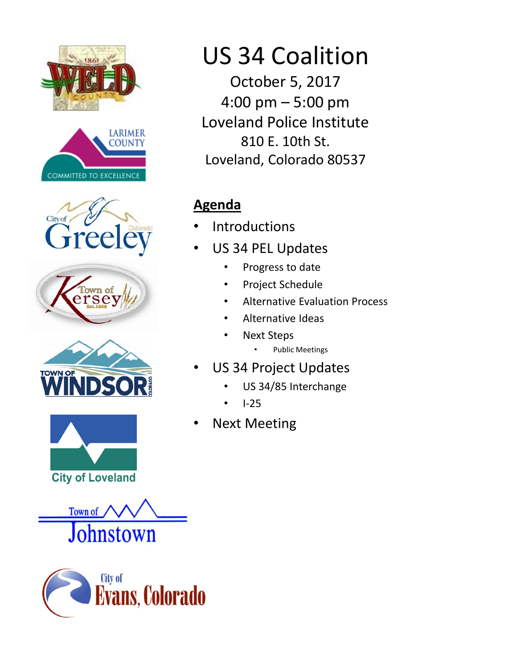















# US 34 Coalition

October 5, 2017 4:00 pm – 5:00 pm Loveland Police Institute 810 E. 10th St. Loveland, Colorado 80537

## **Agenda**

- **Introductions**
- US 34 PEL Updates
	- Progress to date
	- Project Schedule
	- Alternative Evaluation Process
	- Alternative Ideas
	- **Next Steps** 
		- Public Meetings
- US 34 Project Updates
	- US 34/85 Interchange
	- I‐25
- **Next Meeting**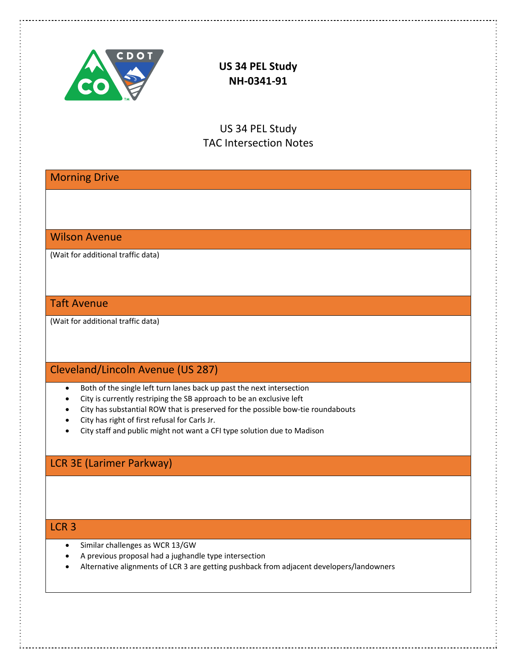

**US 34 PEL Study NH‐0341‐91** 

US 34 PEL Study TAC Intersection Notes

Morning Drive

#### Wilson Avenue

(Wait for additional traffic data)

#### Taft Avenue

(Wait for additional traffic data)

## Cleveland/Lincoln Avenue (US 287)

- Both of the single left turn lanes back up past the next intersection
- City is currently restriping the SB approach to be an exclusive left
- City has substantial ROW that is preserved for the possible bow-tie roundabouts
- City has right of first refusal for Carls Jr.
- City staff and public might not want a CFI type solution due to Madison

## LCR 3E (Larimer Parkway)

#### LCR 3

- Similar challenges as WCR 13/GW
- A previous proposal had a jughandle type intersection
- Alternative alignments of LCR 3 are getting pushback from adjacent developers/landowners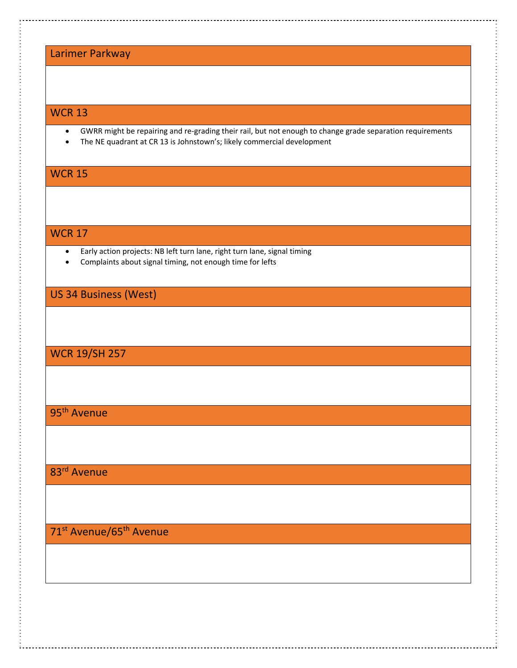## Larimer Parkway

#### WCR 13

- GWRR might be repairing and re‐grading their rail, but not enough to change grade separation requirements
- The NE quadrant at CR 13 is Johnstown's; likely commercial development

## WCR 15

#### WCR 17

- Early action projects: NB left turn lane, right turn lane, signal timing
- Complaints about signal timing, not enough time for lefts

#### US 34 Business (West)

## WCR 19/SH 257

## 95<sup>th</sup> Avenue

## 83rd Avenue

## 71<sup>st</sup> Avenue/65<sup>th</sup> Avenue